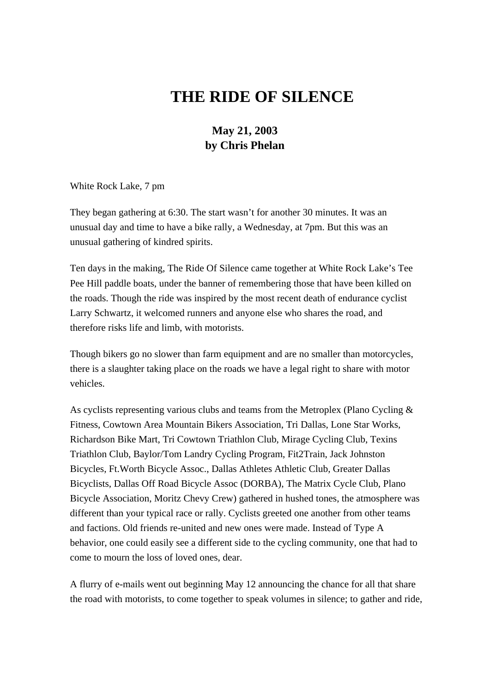## **THE RIDE OF SILENCE**

## **May 21, 2003 by Chris Phelan**

White Rock Lake, 7 pm

They began gathering at 6:30. The start wasn't for another 30 minutes. It was an unusual day and time to have a bike rally, a Wednesday, at 7pm. But this was an unusual gathering of kindred spirits.

Ten days in the making, The Ride Of Silence came together at White Rock Lake's Tee Pee Hill paddle boats, under the banner of remembering those that have been killed on the roads. Though the ride was inspired by the most recent death of endurance cyclist Larry Schwartz, it welcomed runners and anyone else who shares the road, and therefore risks life and limb, with motorists.

Though bikers go no slower than farm equipment and are no smaller than motorcycles, there is a slaughter taking place on the roads we have a legal right to share with motor vehicles.

As cyclists representing various clubs and teams from the Metroplex (Plano Cycling & Fitness, Cowtown Area Mountain Bikers Association, Tri Dallas, Lone Star Works, Richardson Bike Mart, Tri Cowtown Triathlon Club, Mirage Cycling Club, Texins Triathlon Club, Baylor/Tom Landry Cycling Program, Fit2Train, Jack Johnston Bicycles, Ft.Worth Bicycle Assoc., Dallas Athletes Athletic Club, Greater Dallas Bicyclists, Dallas Off Road Bicycle Assoc (DORBA), The Matrix Cycle Club, Plano Bicycle Association, Moritz Chevy Crew) gathered in hushed tones, the atmosphere was different than your typical race or rally. Cyclists greeted one another from other teams and factions. Old friends re-united and new ones were made. Instead of Type A behavior, one could easily see a different side to the cycling community, one that had to come to mourn the loss of loved ones, dear.

A flurry of e-mails went out beginning May 12 announcing the chance for all that share the road with motorists, to come together to speak volumes in silence; to gather and ride,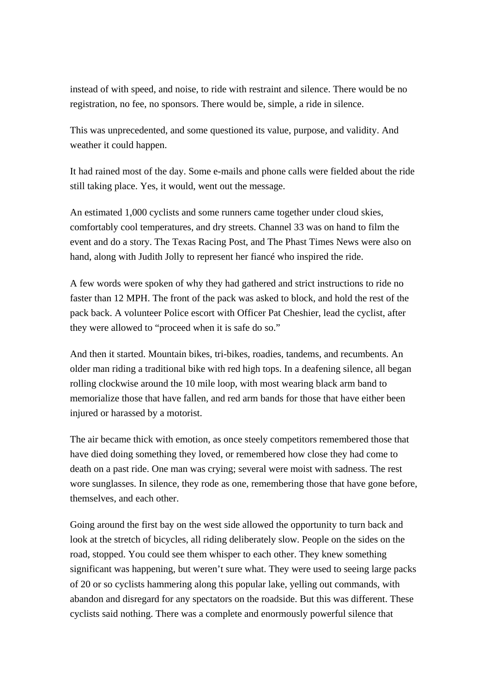instead of with speed, and noise, to ride with restraint and silence. There would be no registration, no fee, no sponsors. There would be, simple, a ride in silence.

This was unprecedented, and some questioned its value, purpose, and validity. And weather it could happen.

It had rained most of the day. Some e-mails and phone calls were fielded about the ride still taking place. Yes, it would, went out the message.

An estimated 1,000 cyclists and some runners came together under cloud skies, comfortably cool temperatures, and dry streets. Channel 33 was on hand to film the event and do a story. The Texas Racing Post, and The Phast Times News were also on hand, along with Judith Jolly to represent her fiancé who inspired the ride.

A few words were spoken of why they had gathered and strict instructions to ride no faster than 12 MPH. The front of the pack was asked to block, and hold the rest of the pack back. A volunteer Police escort with Officer Pat Cheshier, lead the cyclist, after they were allowed to "proceed when it is safe do so."

And then it started. Mountain bikes, tri-bikes, roadies, tandems, and recumbents. An older man riding a traditional bike with red high tops. In a deafening silence, all began rolling clockwise around the 10 mile loop, with most wearing black arm band to memorialize those that have fallen, and red arm bands for those that have either been injured or harassed by a motorist.

The air became thick with emotion, as once steely competitors remembered those that have died doing something they loved, or remembered how close they had come to death on a past ride. One man was crying; several were moist with sadness. The rest wore sunglasses. In silence, they rode as one, remembering those that have gone before, themselves, and each other.

Going around the first bay on the west side allowed the opportunity to turn back and look at the stretch of bicycles, all riding deliberately slow. People on the sides on the road, stopped. You could see them whisper to each other. They knew something significant was happening, but weren't sure what. They were used to seeing large packs of 20 or so cyclists hammering along this popular lake, yelling out commands, with abandon and disregard for any spectators on the roadside. But this was different. These cyclists said nothing. There was a complete and enormously powerful silence that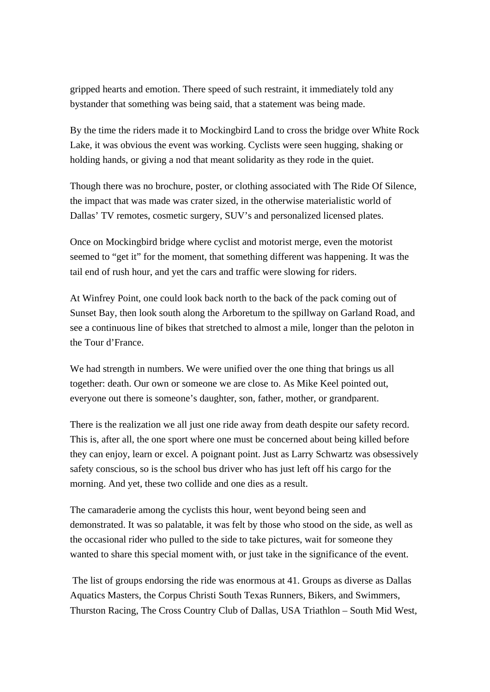gripped hearts and emotion. There speed of such restraint, it immediately told any bystander that something was being said, that a statement was being made.

By the time the riders made it to Mockingbird Land to cross the bridge over White Rock Lake, it was obvious the event was working. Cyclists were seen hugging, shaking or holding hands, or giving a nod that meant solidarity as they rode in the quiet.

Though there was no brochure, poster, or clothing associated with The Ride Of Silence, the impact that was made was crater sized, in the otherwise materialistic world of Dallas' TV remotes, cosmetic surgery, SUV's and personalized licensed plates.

Once on Mockingbird bridge where cyclist and motorist merge, even the motorist seemed to "get it" for the moment, that something different was happening. It was the tail end of rush hour, and yet the cars and traffic were slowing for riders.

At Winfrey Point, one could look back north to the back of the pack coming out of Sunset Bay, then look south along the Arboretum to the spillway on Garland Road, and see a continuous line of bikes that stretched to almost a mile, longer than the peloton in the Tour d'France.

We had strength in numbers. We were unified over the one thing that brings us all together: death. Our own or someone we are close to. As Mike Keel pointed out, everyone out there is someone's daughter, son, father, mother, or grandparent.

There is the realization we all just one ride away from death despite our safety record. This is, after all, the one sport where one must be concerned about being killed before they can enjoy, learn or excel. A poignant point. Just as Larry Schwartz was obsessively safety conscious, so is the school bus driver who has just left off his cargo for the morning. And yet, these two collide and one dies as a result.

The camaraderie among the cyclists this hour, went beyond being seen and demonstrated. It was so palatable, it was felt by those who stood on the side, as well as the occasional rider who pulled to the side to take pictures, wait for someone they wanted to share this special moment with, or just take in the significance of the event.

 The list of groups endorsing the ride was enormous at 41. Groups as diverse as Dallas Aquatics Masters, the Corpus Christi South Texas Runners, Bikers, and Swimmers, Thurston Racing, The Cross Country Club of Dallas, USA Triathlon – South Mid West,